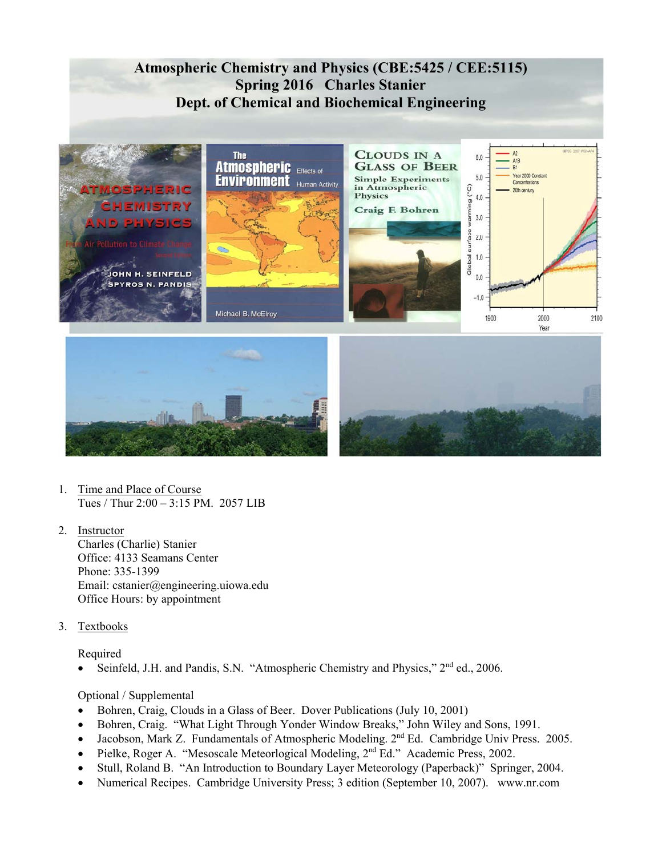# **Atmospheric Chemistry and Physics (CBE:5425 / CEE:5115) Spring 2016 Charles Stanier Dept. of Chemical and Biochemical Engineering**



- 1. Time and Place of Course Tues / Thur 2:00 – 3:15 PM. 2057 LIB
- 2. Instructor Charles (Charlie) Stanier Office: 4133 Seamans Center Phone: 335-1399 Email: cstanier@engineering.uiowa.edu Office Hours: by appointment
- 3. Textbooks

Required

• Seinfeld, J.H. and Pandis, S.N. "Atmospheric Chemistry and Physics," 2<sup>nd</sup> ed., 2006.

### Optional / Supplemental

- Bohren, Craig, Clouds in a Glass of Beer. Dover Publications (July 10, 2001)
- Bohren, Craig. "What Light Through Yonder Window Breaks," John Wiley and Sons, 1991.
- Jacobson, Mark Z. Fundamentals of Atmospheric Modeling. 2<sup>nd</sup> Ed. Cambridge Univ Press. 2005.
- Pielke, Roger A. "Mesoscale Meteorlogical Modeling, 2<sup>nd</sup> Ed." Academic Press, 2002.
- Stull, Roland B. "An Introduction to Boundary Layer Meteorology (Paperback)" Springer, 2004.
- Numerical Recipes. Cambridge University Press; 3 edition (September 10, 2007). www.nr.com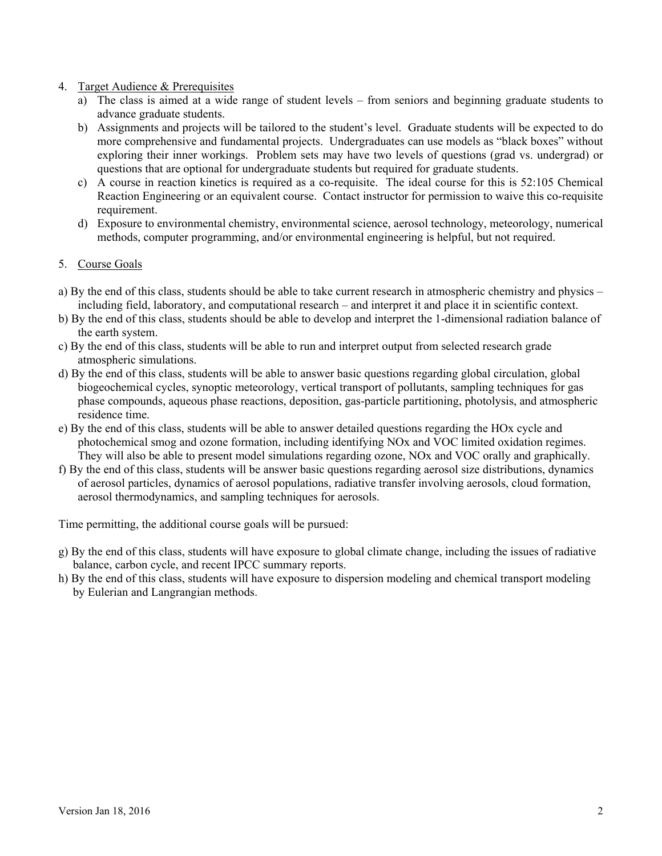#### 4. Target Audience & Prerequisites

- a) The class is aimed at a wide range of student levels from seniors and beginning graduate students to advance graduate students.
- b) Assignments and projects will be tailored to the student's level. Graduate students will be expected to do more comprehensive and fundamental projects. Undergraduates can use models as "black boxes" without exploring their inner workings. Problem sets may have two levels of questions (grad vs. undergrad) or questions that are optional for undergraduate students but required for graduate students.
- c) A course in reaction kinetics is required as a co-requisite. The ideal course for this is 52:105 Chemical Reaction Engineering or an equivalent course. Contact instructor for permission to waive this co-requisite requirement.
- d) Exposure to environmental chemistry, environmental science, aerosol technology, meteorology, numerical methods, computer programming, and/or environmental engineering is helpful, but not required.

#### 5. Course Goals

- a) By the end of this class, students should be able to take current research in atmospheric chemistry and physics including field, laboratory, and computational research – and interpret it and place it in scientific context.
- b) By the end of this class, students should be able to develop and interpret the 1-dimensional radiation balance of the earth system.
- c) By the end of this class, students will be able to run and interpret output from selected research grade atmospheric simulations.
- d) By the end of this class, students will be able to answer basic questions regarding global circulation, global biogeochemical cycles, synoptic meteorology, vertical transport of pollutants, sampling techniques for gas phase compounds, aqueous phase reactions, deposition, gas-particle partitioning, photolysis, and atmospheric residence time.
- e) By the end of this class, students will be able to answer detailed questions regarding the HOx cycle and photochemical smog and ozone formation, including identifying NOx and VOC limited oxidation regimes. They will also be able to present model simulations regarding ozone, NOx and VOC orally and graphically.
- f) By the end of this class, students will be answer basic questions regarding aerosol size distributions, dynamics of aerosol particles, dynamics of aerosol populations, radiative transfer involving aerosols, cloud formation, aerosol thermodynamics, and sampling techniques for aerosols.

Time permitting, the additional course goals will be pursued:

- g) By the end of this class, students will have exposure to global climate change, including the issues of radiative balance, carbon cycle, and recent IPCC summary reports.
- h) By the end of this class, students will have exposure to dispersion modeling and chemical transport modeling by Eulerian and Langrangian methods.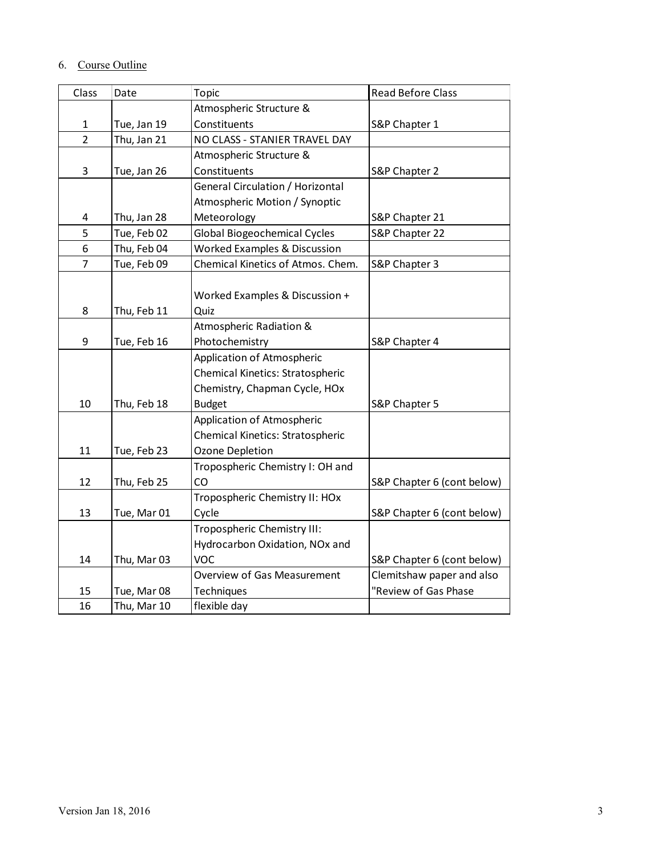# 6. Course Outline

| Class          | Date        | Topic                               | Read Before Class          |
|----------------|-------------|-------------------------------------|----------------------------|
|                |             | Atmospheric Structure &             |                            |
| 1              | Tue, Jan 19 | Constituents                        | S&P Chapter 1              |
| $\overline{2}$ | Thu, Jan 21 | NO CLASS - STANIER TRAVEL DAY       |                            |
|                |             | Atmospheric Structure &             |                            |
| 3              | Tue, Jan 26 | Constituents                        | S&P Chapter 2              |
|                |             | General Circulation / Horizontal    |                            |
|                |             | Atmospheric Motion / Synoptic       |                            |
| 4              | Thu, Jan 28 | Meteorology                         | S&P Chapter 21             |
| 5              | Tue, Feb 02 | <b>Global Biogeochemical Cycles</b> | S&P Chapter 22             |
| 6              | Thu, Feb 04 | Worked Examples & Discussion        |                            |
| $\overline{7}$ | Tue, Feb 09 | Chemical Kinetics of Atmos. Chem.   | S&P Chapter 3              |
|                |             |                                     |                            |
|                |             | Worked Examples & Discussion +      |                            |
| 8              | Thu, Feb 11 | Quiz                                |                            |
|                |             | Atmospheric Radiation &             |                            |
| 9              | Tue, Feb 16 | Photochemistry                      | S&P Chapter 4              |
|                |             | Application of Atmospheric          |                            |
|                |             | Chemical Kinetics: Stratospheric    |                            |
|                |             | Chemistry, Chapman Cycle, HOx       |                            |
| 10             | Thu, Feb 18 | <b>Budget</b>                       | S&P Chapter 5              |
|                |             | Application of Atmospheric          |                            |
|                |             | Chemical Kinetics: Stratospheric    |                            |
| 11             | Tue, Feb 23 | Ozone Depletion                     |                            |
|                |             | Tropospheric Chemistry I: OH and    |                            |
| 12             | Thu, Feb 25 | CO                                  | S&P Chapter 6 (cont below) |
|                |             | Tropospheric Chemistry II: HOx      |                            |
| 13             | Tue, Mar 01 | Cycle                               | S&P Chapter 6 (cont below) |
|                |             | Tropospheric Chemistry III:         |                            |
|                |             | Hydrocarbon Oxidation, NOx and      |                            |
| 14             | Thu, Mar 03 | VOC                                 | S&P Chapter 6 (cont below) |
|                |             | <b>Overview of Gas Measurement</b>  | Clemitshaw paper and also  |
| 15             | Tue, Mar 08 | Techniques                          | "Review of Gas Phase       |
| 16             | Thu, Mar 10 | flexible day                        |                            |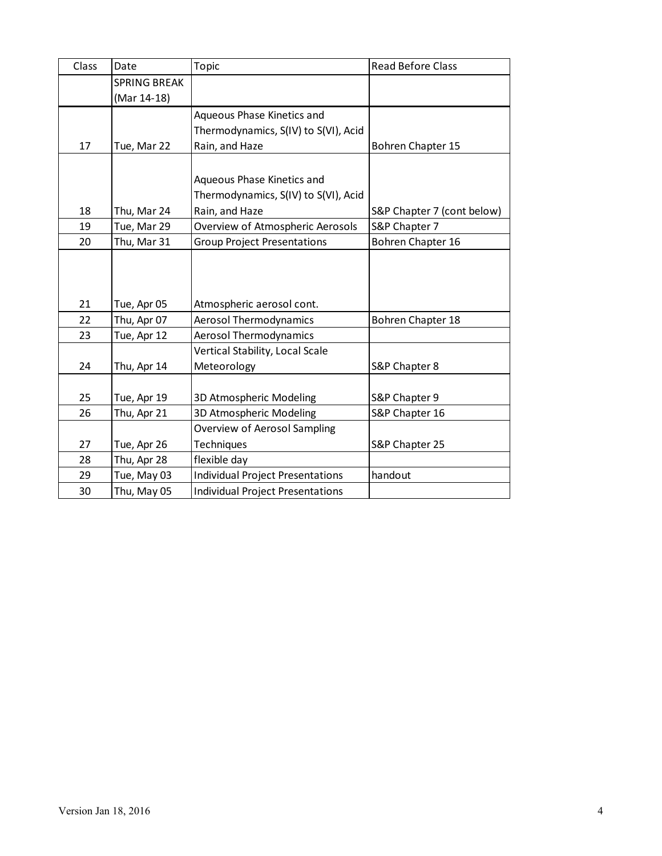| Class | Date                | <b>Topic</b>                            | <b>Read Before Class</b>   |
|-------|---------------------|-----------------------------------------|----------------------------|
|       | <b>SPRING BREAK</b> |                                         |                            |
|       | (Mar 14-18)         |                                         |                            |
|       |                     | Aqueous Phase Kinetics and              |                            |
|       |                     | Thermodynamics, S(IV) to S(VI), Acid    |                            |
| 17    | Tue, Mar 22         | Rain, and Haze                          | Bohren Chapter 15          |
|       |                     |                                         |                            |
|       |                     | Aqueous Phase Kinetics and              |                            |
|       |                     | Thermodynamics, S(IV) to S(VI), Acid    |                            |
| 18    | Thu, Mar 24         | Rain, and Haze                          | S&P Chapter 7 (cont below) |
| 19    | Tue, Mar 29         | Overview of Atmospheric Aerosols        | S&P Chapter 7              |
| 20    | Thu, Mar 31         | <b>Group Project Presentations</b>      | Bohren Chapter 16          |
|       |                     |                                         |                            |
|       |                     |                                         |                            |
|       |                     |                                         |                            |
| 21    | Tue, Apr 05         | Atmospheric aerosol cont.               |                            |
| 22    | Thu, Apr 07         | Aerosol Thermodynamics                  | Bohren Chapter 18          |
| 23    | Tue, Apr 12         | <b>Aerosol Thermodynamics</b>           |                            |
|       |                     | Vertical Stability, Local Scale         |                            |
| 24    | Thu, Apr 14         | Meteorology                             | S&P Chapter 8              |
|       |                     |                                         |                            |
| 25    | Tue, Apr 19         | 3D Atmospheric Modeling                 | S&P Chapter 9              |
| 26    | Thu, Apr 21         | 3D Atmospheric Modeling                 | S&P Chapter 16             |
|       |                     | Overview of Aerosol Sampling            |                            |
| 27    | Tue, Apr 26         | Techniques                              | S&P Chapter 25             |
| 28    | Thu, Apr 28         | flexible day                            |                            |
| 29    | Tue, May 03         | <b>Individual Project Presentations</b> | handout                    |
| 30    | Thu, May 05         | <b>Individual Project Presentations</b> |                            |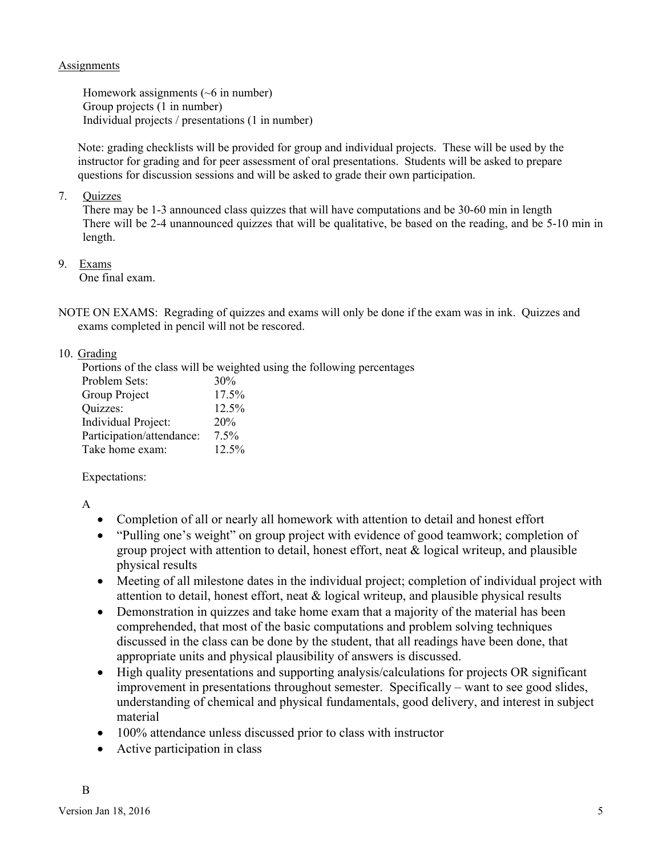#### **Assignments**

Homework assignments (~6 in number) Group projects (1 in number) Individual projects / presentations (1 in number)

 Note: grading checklists will be provided for group and individual projects. These will be used by the instructor for grading and for peer assessment of oral presentations. Students will be asked to prepare questions for discussion sessions and will be asked to grade their own participation.

7. Quizzes

There may be 1-3 announced class quizzes that will have computations and be 30-60 min in length There will be 2-4 unannounced quizzes that will be qualitative, be based on the reading, and be 5-10 min in length.

9. Exams

One final exam.

NOTE ON EXAMS: Regrading of quizzes and exams will only be done if the exam was in ink. Quizzes and exams completed in pencil will not be rescored.

#### 10. Grading

Portions of the class will be weighted using the following percentages

| Problem Sets:             | 30%   |
|---------------------------|-------|
| Group Project             | 17.5% |
| Quizzes:                  | 12.5% |
| Individual Project:       | 20%   |
| Participation/attendance: | 7.5%  |
| Take home exam:           | 12.5% |

Expectations:

A

- Completion of all or nearly all homework with attention to detail and honest effort
- "Pulling one's weight" on group project with evidence of good teamwork; completion of group project with attention to detail, honest effort, neat & logical writeup, and plausible physical results
- Meeting of all milestone dates in the individual project; completion of individual project with attention to detail, honest effort, neat & logical writeup, and plausible physical results
- Demonstration in quizzes and take home exam that a majority of the material has been comprehended, that most of the basic computations and problem solving techniques discussed in the class can be done by the student, that all readings have been done, that appropriate units and physical plausibility of answers is discussed.
- High quality presentations and supporting analysis/calculations for projects OR significant improvement in presentations throughout semester. Specifically – want to see good slides, understanding of chemical and physical fundamentals, good delivery, and interest in subject material
- 100% attendance unless discussed prior to class with instructor
- Active participation in class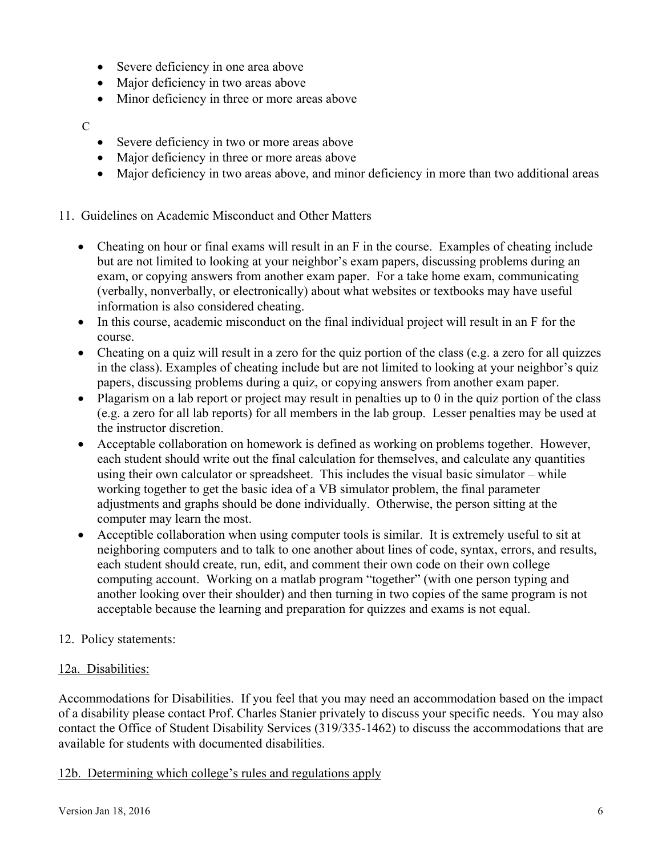- Severe deficiency in one area above
- Major deficiency in two areas above
- Minor deficiency in three or more areas above

### C

- Severe deficiency in two or more areas above
- Major deficiency in three or more areas above
- Major deficiency in two areas above, and minor deficiency in more than two additional areas

# 11. Guidelines on Academic Misconduct and Other Matters

- Cheating on hour or final exams will result in an F in the course. Examples of cheating include but are not limited to looking at your neighbor's exam papers, discussing problems during an exam, or copying answers from another exam paper. For a take home exam, communicating (verbally, nonverbally, or electronically) about what websites or textbooks may have useful information is also considered cheating.
- In this course, academic misconduct on the final individual project will result in an F for the course.
- Cheating on a quiz will result in a zero for the quiz portion of the class (e.g. a zero for all quizzes in the class). Examples of cheating include but are not limited to looking at your neighbor's quiz papers, discussing problems during a quiz, or copying answers from another exam paper.
- $\bullet$  Plagarism on a lab report or project may result in penalties up to 0 in the quiz portion of the class (e.g. a zero for all lab reports) for all members in the lab group. Lesser penalties may be used at the instructor discretion.
- Acceptable collaboration on homework is defined as working on problems together. However, each student should write out the final calculation for themselves, and calculate any quantities using their own calculator or spreadsheet. This includes the visual basic simulator – while working together to get the basic idea of a VB simulator problem, the final parameter adjustments and graphs should be done individually. Otherwise, the person sitting at the computer may learn the most.
- Acceptible collaboration when using computer tools is similar. It is extremely useful to sit at neighboring computers and to talk to one another about lines of code, syntax, errors, and results, each student should create, run, edit, and comment their own code on their own college computing account. Working on a matlab program "together" (with one person typing and another looking over their shoulder) and then turning in two copies of the same program is not acceptable because the learning and preparation for quizzes and exams is not equal.

# 12. Policy statements:

# 12a. Disabilities:

Accommodations for Disabilities. If you feel that you may need an accommodation based on the impact of a disability please contact Prof. Charles Stanier privately to discuss your specific needs. You may also contact the Office of Student Disability Services (319/335-1462) to discuss the accommodations that are available for students with documented disabilities.

# 12b. Determining which college's rules and regulations apply